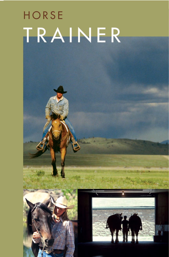